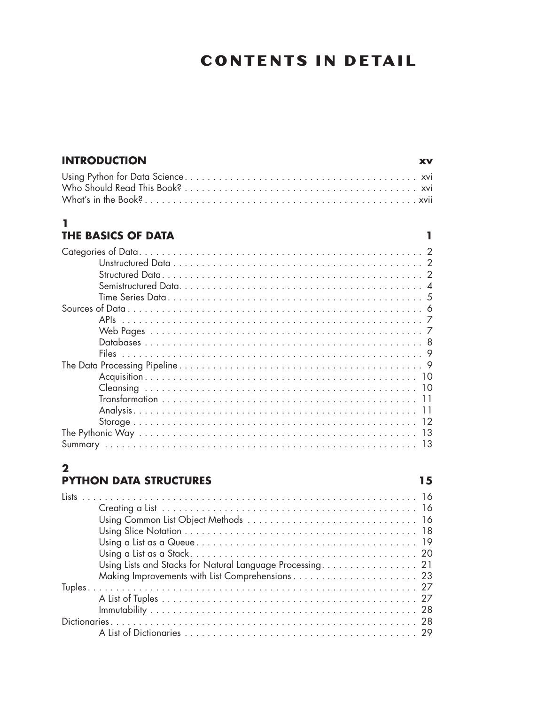# **CONTENTS IN DETAIL**

 $\mathbf{I}$ 

 $15$ 

| <b>INTRODUCTION</b> | <b>XV</b> |
|---------------------|-----------|
|                     |           |
|                     |           |
|                     |           |

#### $\mathbf{1}$ THE BASICS OF DATA

#### $\overline{2}$ **PYTHON DATA STRUCTURES**

| Using Lists and Stacks for Natural Language Processing. 21 |
|------------------------------------------------------------|
|                                                            |
|                                                            |
|                                                            |
|                                                            |
|                                                            |
|                                                            |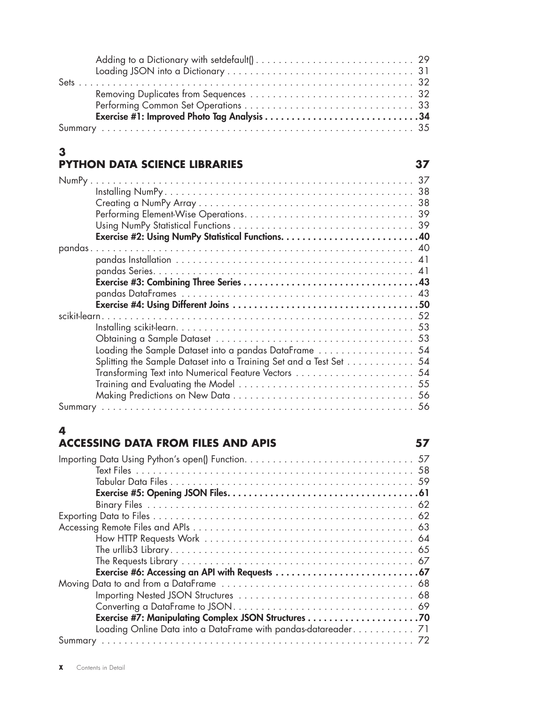# **3**

### **PYTHON DATA SCIENCE LIBRARIES 37**

| NumPy                                                              |
|--------------------------------------------------------------------|
| 38                                                                 |
| 38                                                                 |
|                                                                    |
|                                                                    |
|                                                                    |
|                                                                    |
|                                                                    |
|                                                                    |
|                                                                    |
|                                                                    |
|                                                                    |
|                                                                    |
|                                                                    |
|                                                                    |
| Loading the Sample Dataset into a pandas DataFrame  54             |
| Splitting the Sample Dataset into a Training Set and a Test Set 54 |
| Transforming Text into Numerical Feature Vectors  54               |
|                                                                    |
|                                                                    |
|                                                                    |

# **4**

| <b>ACCESSING DATA FROM FILES AND APIS</b> |  |
|-------------------------------------------|--|
|                                           |  |
|                                           |  |
|                                           |  |
|                                           |  |
|                                           |  |
|                                           |  |
|                                           |  |
|                                           |  |
|                                           |  |
|                                           |  |
|                                           |  |
|                                           |  |
|                                           |  |
|                                           |  |
|                                           |  |
|                                           |  |
|                                           |  |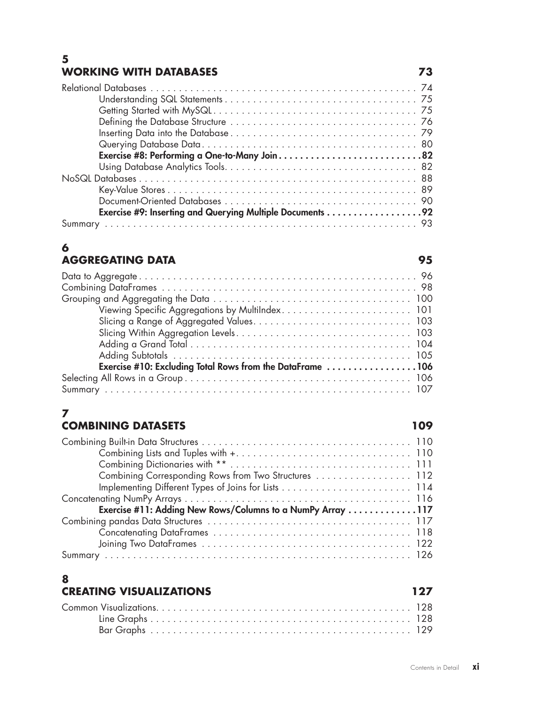#### **5 WORKING WITH DATABASES 73**

| Exercise #8: Performing a One-to-Many Join82              |
|-----------------------------------------------------------|
|                                                           |
|                                                           |
|                                                           |
|                                                           |
| Exercise #9: Inserting and Querying Multiple Documents 92 |
|                                                           |

#### **6 AGGREGATING DATA 95**

| Exercise #10: Excluding Total Rows from the DataFrame 106 |
|-----------------------------------------------------------|
|                                                           |
|                                                           |

### **7**

#### **COMBINING DATASETS 109**

| Combining Corresponding Rows from Two Structures  112      |
|------------------------------------------------------------|
|                                                            |
|                                                            |
| Exercise #11: Adding New Rows/Columns to a NumPy Array 117 |
|                                                            |
|                                                            |
|                                                            |
|                                                            |

# **8**

# **CREATING VISUALIZATIONS** 127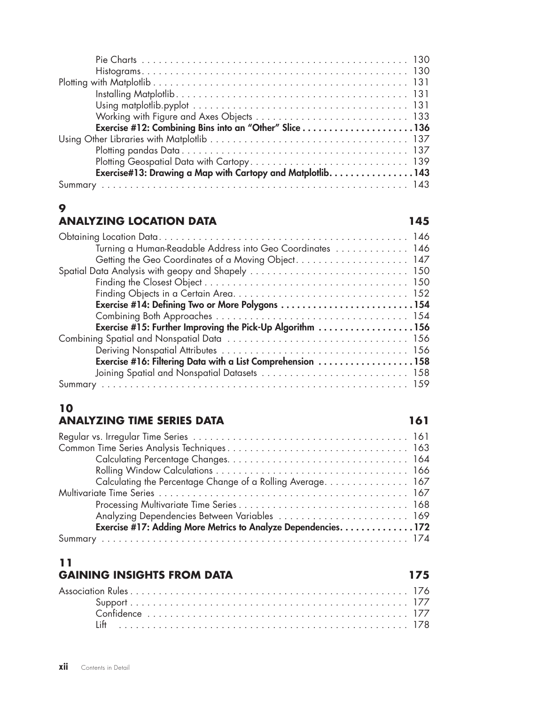| Exercise#13: Drawing a Map with Cartopy and Matplotlib. 143 |  |
|-------------------------------------------------------------|--|

#### **9**

#### **ANALYZING LOCATION DATA 145**

| Turning a Human-Readable Address into Geo Coordinates  146 |  |
|------------------------------------------------------------|--|
| Getting the Geo Coordinates of a Moving Object. 147        |  |
|                                                            |  |
|                                                            |  |
|                                                            |  |
|                                                            |  |
|                                                            |  |
| Exercise #15: Further Improving the Pick-Up Algorithm 156  |  |
|                                                            |  |
|                                                            |  |
| Exercise #16: Filtering Data with a List Comprehension 158 |  |
|                                                            |  |
|                                                            |  |

## **10**

#### **ANALYZING TIME SERIES DATA 161**

| Calculating the Percentage Change of a Rolling Average. 167    |  |
|----------------------------------------------------------------|--|
|                                                                |  |
|                                                                |  |
| Analyzing Dependencies Between Variables  169                  |  |
| Exercise #17: Adding More Metrics to Analyze Dependencies. 172 |  |
|                                                                |  |

### **11**

#### **GAINING INSIGHTS FROM DATA 175**